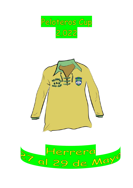



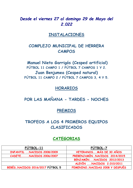# *Desde el viernes 27 al domingo 29 de Mayo del 2.022*

## **INSTALACIONES**

# **COMPLEJO MUNICIPAL DE HERRERA CAMPOS**

**Manuel Nieto Garrigós (Cesped artificial) FÚTBOL 11 CAMPO 1 / FÚTBOL 7 CAMPOS 1 Y 2. Juan Benjumea (Cesped natural) FÚTBOL 11 CAMPO 2 / FÚTBOL 7 CAMPOS 3, 4 Y 5.**

### **HORARIOS**

**POR LAS MAÑANA - TARDES - NOCHES**

## **PREMIOS**

## **TROFEOS A LOS 4 PRIMEROS EQUIPOS CLASIFICADOS**

## **CATEGORIAS**

| FÚTBOL-11                       | FÚTBOL-7                       |
|---------------------------------|--------------------------------|
| INFANTIL  NACIDOS 2008/2009     | VETERANOSMÁS DE 30 AÑOS        |
| CADETENACIDOS 2006/2007         | PREBENJAMÍNNACIDOS 2014/2015   |
|                                 | BENJAMÍNNACIDOS 2012/2013      |
|                                 | ALEVIN NACIDOS 2.010/2011      |
| BEBÉSNACIDOS 2016/2017 FÚTBOL 5 | FEMENINONACIDAS 2008 Y DESPUÉS |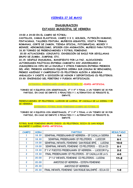### **VIERNES 27 DE MAYO**

### **INAUGURACION ESTADIO MUNICIPAL DE HERRERA**

**19:00 A 24:00 EN EL CAMPO DE FÚTBOL:** 

**CASTILLOS, CAMAS ELASTICAS, CAMPO 3 X 3, GOLIGOL, FUTBOLÍN HUMANO, PINTACARAS, TALLERES PINTURA, MUÑECOS GIGANTES, VISITA TERMAS ROMANAS, CORTE DE JAMON, TIENDA OFICIAL, FOTOGRAFIAS, MICKEY Y MINNIE, AEROMODELISMO, SPICKER CON ANIMACIÓN, MUÑECO PARA FOTOS. 18.30 TORNEO DE PREBENJAMINES Y FÚTBOL FEMENINO.**

**20.00 ACTUACIONES: CONJUNTO, EXHIBICIÓN DE BAILE POR SEVILLANAS GRUPO DE ZUMBA, JUMPING, ETC.**

**22,15: DESFILE INAUGURAL, MANIFIESTO POR LA PAZ, ALOCUCIONES AUTORIDADES POLÍTICAS.ENTREGA CAMISETA XXV ANIVERSARIO A JUGADORES/AS VIPS DE LA ESCUELA Y OTROS FAMOSOS.ENTREGA PREMIOS DEL AÑO, PREMIOS ASCENSOS EQUIPOS SIERRA SUR (OSUNA BC BENJAMIN), PREMIO ASCENSO Y CAMPEONATO CD PELOTEROS ALEVIN A SEGUNDA ANDALUZA Y CADETE A DIVISIÓN DE HONOR Y DEPORTIVIDAD CD PELOTEROS. 23:30: ENCENDIDO DEL PEBETERO Y FUEGOS ARTIFICIALES.**

**CATEGORIA: PREBENJAMÍN (CAMPO DE FÚTBOL-7): CESPED ARTIFICIAL**

**TORNEO DE 4 EQUIPOS CON SEMIFINALES, 3º Y 4º Y FINAL A UN TIEMPO DE 30 POR PARTIDO, EN CASO DE EMPATE 3 PENALTIES Y 1 ALTERNATIVO SI PERSISTE EL EMPATE.**

**PREBENJAMINES: EF PELOTEROS, LUCECOR DE LUCENA, EF CAZALLA DE LA SIERRA Y EF DE HERRERA.** 

**CATEGORIA: FÚTBOL BASE FEMENINO (CAMPO DE FÚTBOL-7)**

**TORNEO DE 4 EQUIPOS CON SEMIFINALES, 3º Y 4º Y FINAL A UN TIEMPO DE 30 POR PARTIDO, EN CASO DE EMPATE 3 PENALTIES Y 1 ALTERNATIVO SI PERSISTE EL EMPATE.**

**FÚTBOL BASE FEMENINO GRUPO ÚNICO: CD PELOTEROS, ECIJA CD SAN ROQUE BALOMPIÉ Y LUCENA.CESPED ARTIFICIAL**

| <b>RESULTADO</b> | <b>PARTIDO</b>                                        | <b>HORA</b> | <b>CAMPO</b>   |
|------------------|-------------------------------------------------------|-------------|----------------|
| $1 - 4$          | SEMIFINAL PREBENJAMIN EF HERRERA - EF CAZALLA SIERRA  | 18.30       |                |
| $6-1$            | SEMIFINAL PREBENJAMIN EF PELOTEROS - LUCECOR          | 18.30       | $\overline{2}$ |
| $10 - 0$         | SEMIFINAL INFANTIL FEMENINO SAN ROQUE BPIÉ - LUCENA   | 19.00       |                |
| $0 - 1$          | SEMIFINAL INFANTIL FEMENINO CD PELOTEROS - ECIJA CD   | 19,00       | $\overline{2}$ |
| $2 - 2$          | 3° Y 4° PUESTOS PREBENJAMIN EF HERRERA - LUCECOR P.p. | 19.30       | 1              |
| $4-0$            | FINAL PREBENJAMIN EF PELOTEROS - EF CAZALLA DE LA S.  | 19.30       | $\overline{2}$ |
| $11-2$           | 3° Y 4° INFANTIL FEMENINO CD PELOTEROS - LUCENA       | 20,00       |                |
|                  | AMISTOSO EF HERRERA - ESTEPA FEMENINO                 | 20,00       | $\overline{2}$ |
|                  | <b>AMISTOSO EF HERRERA</b>                            | 20,30       |                |
| $1-0$            | FINAL INFANTIL FEMENINO SAN ROQUE BALOMPIÉ - ECIJA CD | 20,30       | $\overline{2}$ |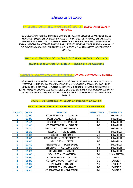### **SÁBADO 28 DE MAYO**

#### **CATEGORIA: INFANTILES (CAMPO DE FÚTBOL-11) CESPED ARTIFICIAL Y NATURAL**

**SE JUGARÁ UN TORNEO CON DOS GRUPOS DE CUATRO EQUIPOS A PARTIDOS DE 30 MINUTOS, LUEGO EN LA SEGUNDA FASE 3º Y 4º PUESTOS Y FINAL. EN LAS LIGAS GANAR SON 3 PUNTOS, 1 PUNTO EL EMPATE Y 0 PERDER, EN CASO DE EMPATE EN LIGAS PRIMERO GOLAVERAGE PARTICULAR, DESPUES GENERAL Y POR ULTIMO MAYOR Nº DE TANTOS MARCADOS; EN CRUCES 3 PENALTIES Y 1 ALTERNATIVO SI PERSISTE EL EMPATE.**

**GRUPO A: CD PELOTEROS "A", SALERM PUENTE GENIL, LUCECOR Y SEVILLA FC.**

**GRUPO B: CD PELOTEROS "B", CÁDIZ CF, HERRERA CF Y CD MOSQUITO**

**CATEGORIA: CADETES (CAMPO DE FÚTBOL-11) CESPED ARTIFICIAL Y NATURAL**

**SE JUGARÁ UN TORNEO CON DOS GRUPOS DE CUATRO EQUIPOS A 30 MINUTOS POR PARTIDO, LUEGO EN LA SEGUNDA FASE 3º Y 4º PUESTOS Y FINAL. EN LAS LIGAS GANAR SON 3 PUNTOS, 1 PUNTO EL EMPATE Y 0 PERDER, EN CASO DE EMPATE EN LIGAS PRIMERO GOLAVERAGE PARTICULAR, DESPUES GENERAL Y POR ULTIMO MAYOR Nº DE TANTOS MARCADOS; EN CRUCES 3 PENALTIES Y 1 ALTERNATIVO SI PERSISTE EL EMPATE.**

**GRUPO A: CD PELOTEROS "A", OSUNA BC, LUCECOR Y SEVILLA FC.**

| <b>CAMPO</b>   | <b>HORA</b> | <b>PARTIDO</b>                     | <b>RESULTADO</b> |                   |
|----------------|-------------|------------------------------------|------------------|-------------------|
|                | 10.00       | CD PELOTEROS "A" - LUCECOR         | $2-0$            |                   |
| $\overline{2}$ | 10.00       | PUENTE GENIL - SEVILLA FC          | $0-4$            | <b>INFANTIL A</b> |
|                | 10.40       | <b>HERRERA CF - CD MOSQUITO</b>    | $0-5$            | <b>INFANTIL B</b> |
| 2              | 10.40       | CD PELOTEROS "B" - CADIZ CF        | $0-2$            | <b>INFANTIL B</b> |
|                | 11.20       | SEVILLA FC - CD PELOTEROS "A"      | $1 - 2$          | <b>INFANTIL A</b> |
| 2              | 11.20       | LUCECOR - PUENTE GENIL             | $1 - 2$          | <b>INFANTIL A</b> |
|                | 12,00       | CÁDIZ CF - HERRERA CF              | $5-0$            | <b>INFANTIL B</b> |
| 2              | 12,00       | CD MOSQUITO - CD PELOTEROS "B"     | $2-1$            | <b>INFANTIL B</b> |
|                | 12.40       | SEVILLA FC - LUCECOR               | $5-0$            | <b>INFANTIL A</b> |
| 2              | 12.40       | PELOTEROS "A" - PUENTE GENIL       | $1-0$            | <b>INFANTIL A</b> |
|                | 13.20       | HERRERA CF - CD PELOTEROS "B"      | $0-5$            | <b>INFANTIL B</b> |
| 2              | 13.20       | CD MOSQUITO - CÁDIZ CF             | $0-0$            | <b>INFANTIL B</b> |
|                | 14.00       | SEVILLA FC - CD MOSQUITO           | $3-1$            | 3° Y 4° PUESTO    |
| 2              | 14.00       | CD PELOTEROS "A" - CADIZ CF        | $2-0$            | <b>FINAL</b>      |
|                | 16.00       | CD PELOTEROS "A" - OSUNA BC<br>4-0 |                  | <b>CADETE A</b>   |
| $\overline{2}$ | 16.00       | SEVILLA FC - LUCECOR               | $2-0$            | <b>CADETE A</b>   |
|                | 16.40       | <b>HERRERA CF - GRANADA CF</b>     | $0-2$            | <b>CADETE B</b>   |
| 2              | 16.40       | CD PELOTEROS "B" - CD PEDRERA      | $2-1$            | <b>CADETE B</b>   |

#### **GRUPO B: CD PELOTEROS "B", CD PEDRERA, GRANADA CF Y HERRERA CF.**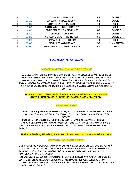|   | 17.20 | <b>OSUNA BC - SEVILLA FC</b>         | $0 - 3$ | <b>CADETE A</b> |
|---|-------|--------------------------------------|---------|-----------------|
| 2 | 17.20 | LUCECOR - CD PELOTEROS "A"           | $0 - 2$ | <b>CADETE A</b> |
|   | 18,00 | CD PEDRERA - HERRERA CF              | $1-0$   | <b>CADETE B</b> |
| 2 | 18,00 | <b>GRANADA CF - CD PELOTEROS "B"</b> | $0-1$   | <b>CADETE B</b> |
|   | 18.40 | CD PELOTEROS "A" - SEVILLA FC        | $0 - 0$ | <b>CADETE A</b> |
|   | 18.40 | <b>OSUNA BC - LUCECOR</b>            | $4 - 2$ | <b>CADETE A</b> |
|   | 19.20 | CD PELOTEROS "B" - HERRERA CF        | $3 - 0$ | <b>CADETE B</b> |
|   | 19.20 | <b>GRANADA CF - CD PEDRERA</b>       | $1 - 0$ | <b>CADETE B</b> |
|   | 20,00 | SEVILLA FC - GRANADA CF              | $2 - 0$ | 3° Y 4° PUESTO  |
|   | 20,00 | CD PELOTEROS "A" - CD PELOTEROS "B"  | $3-1$   | <b>FINAL</b>    |

### **DOMINGO 29 DE MAYO**

#### **CATEGORIA: VETERANOS (CAMPO DE FÚTBOL-7)**

**SE JUGARÁ UN TORNEO CON DOS GRUPOS DE CUATRO EQUIPOS A PARTIDOS DE 25 MINUTOS, LUEGO EN LA SEGUNDA FASE 3º Y 4º PUESTOS Y FINAL. EN LAS LIGAS GANAR SON 3 PUNTOS, 1 PUNTO EL EMPATE Y 0 PERDER, EN CASO DE EMPATE EN LIGAS PRIMERO GOLAVERAGE PARTICULAR, DESPUES GENERAL Y POR ULTIMO MAYOR Nº DE TANTOS MARCADOS; EN CRUCES 3 PENALTIES Y 1 ALTERNATIVO SI PERSISTE EL EMPATE.**

**GRUPO A: CD PELOTEROS, PUENTE GENIL, LA RODA DE ANDALUCIA Y ESTEPA. GRUPO B: HERRERA CF, EL RUBIO CF, CAMPILLOS CF Y CD PEDRERA.**

**CATEGORIA: BEBÉS**

**TORNEO DE 4 EQUIPOS CON SEMIFINALES, 3º Y 4º Y FINAL A UN TIEMPO DE 25 POR PARTIDO, EN CASO DE EMPATE 3 PENALTIES Y 1 ALTERNATIVO SI PERSISTE EL EMPATE.**

**A FÚTBOL-5, NO EXISTE EL FUERA DE JUEGO, EN CASO DE EMPATE EN LIGAS PRIMERO GOLAVERAGE PARTICULAR, DESPUES GENERAL Y POR ULTIMO MAYOR Nº DE TANTOS MARCADOS; EN CRUCES 3 PENALTIES Y 1 ALTERNATIVO SI PERSISTE EL EMPATE.**

**BEBÉS: HERRERA, PEDRERA, LA RODA DE ANDALUCIA Y MARTÍN DE LA JARA.**

**CATEGORIA: BENJAMÍN / ALEVÍN**

**DOS GRUPOS DE 4 EQUIPOS CADA UNO EN CADA CATEGORÍA, EN LOS QUE SE JUGARÁ UNA LIGA TODOS CONTRA TODOS EN CADA GRUPO A 1 TIEMPO DE 25 MINUTOS CADA PARTIDO Y DESPUÉS LOS PRIMEROS DE CADA GRUPO JUGARÁN LA FINAL Y LOS SEGUNDOS EL 3º Y 4º PUESTOS.**

**EN LAS LIGAS GANAR SON 3 PUNTOS, 1 PUNTO EL EMPATE Y 0 PERDER, EN CASO DE EMPATE EN LIGAS PRIMERO GOLAVERAGE PARTICULAR, DESPUES GENERAL Y POR ULTIMO MAYOR Nº DE TANTOS MARCADOS; EN CRUCES 3 PENALTIES Y 1 ALTERNATIVO SI PERSISTE EL EMPATE.**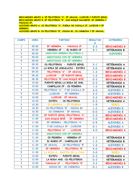**BENJAMINES GRUPO A: EF PELOTEROS "A", EF ARAHAL, LUCECOR Y PUENTE GENIL. BENJAMINES GRUPO B: EF PELOTEROS "B", SAN ROQUE BALOMPIÉ, EF HERRERA Y PARADAS CF. ALEVINES GRUPO A: CD PELOTEROS "A", PUEBLA DE CAZALLA CF, LUCECOR Y EF HERRERA. ALEVINES GRUPO B: CD PELOTEROS "B", OSUNA BC, CD CARMONA Y EF ARAHAL.**

| <b>CAMPO</b>            | <b>HORA</b> | <b>PARTIDO</b>                   | <b>RESULTAD</b> | <b>CATEGORIA</b>    |
|-------------------------|-------------|----------------------------------|-----------------|---------------------|
|                         |             |                                  | $\mathbf{o}$    |                     |
| $\mathbf{1}$            | 09.00       | EF HERRERA - PARADAS CF          | $2 - 3$         | <b>BENJAMINES B</b> |
| $\overline{2}$          | 09.00       | HERRERA CF - EL RUBIO CF         | $5 - 1$         | <b>VETERANOS B</b>  |
| $\overline{\mathbf{3}}$ | 09.00       | AMISTOSO HERRERA-PELOTEROS A     |                 | <b>ALEVINES</b>     |
| $\overline{\mathbf{4}}$ | 09.00       | AMISTOSOS CON EF HERRERA         |                 |                     |
| 5                       | 09.00       | AMISTOSOS CON EF HERRERA         |                 |                     |
| $\mathbf{1}$            | 09.30       | CD PELOTEROS - PUENTE GENIL      | $3 - 1$         | <b>VETERANOS A</b>  |
| $\overline{2}$          | 09.30       | LA RODA DE ANDALUCIA - ESTEPA    | $3-0$           | <b>VETERANOS A</b>  |
| $\overline{3}$          | 09.30       | PELOTEROS "A" - EF ARAHAL        | $1 - 3$         | <b>BENJAMINES A</b> |
| 4                       | 09.30       | LUCECOR - EF PUENTE GENIL        | $1 - 2$         | <b>BENJAMINES A</b> |
| 5                       | 09.30       | PELOTEROS "B"-SAN ROQUE BPIÉ.    | $0 - 3$         | <b>BENJAMINES B</b> |
| $\mathbf{1}$            | 10.00       | PUENTE GENIL-LA RODA DE AND.     | $0 - 3$         | <b>VETERANOS A</b>  |
| $\overline{2}$          | 10.00       | CAMPILLOS CF - CD PEDRERA        | $1 - 2$         | <b>VETERANOS B</b>  |
| $\overline{\mathbf{3}}$ | 10.00       | PELOTEROS "A" - P. DE CAZALLA CF | $6 - 0$         | <b>ALEVINES A</b>   |
| 4                       | 10.00       | LUCECOR - EF HERRERA             | $3 - 2$         | <b>ALEVINES A</b>   |
| 5                       | 10.00       | LUCECOR - EF ARAHAL              | $2 - 2$         | <b>BENJAMINES A</b> |
| $\mathbf{1}$            | 10.30       | ESTEPA - CD PELOTEROS            | $0 - 3$         | <b>VETERANOS A</b>  |
| $\overline{2}$          | 10.30       | EF HERRERA - EF PEDRERA          | $1 - 5$         | <b>BEBES</b>        |
| $\mathbf{3}$            | 10.30       | CD PELOTEROS "B" - OSUNA BC      | $1 - 2$         | <b>ALEVINES B</b>   |
| 4                       | 10.30       | CD CARMONA - EF ARAHAL           | $O-O$           | <b>ALEVINES B</b>   |
| 5                       | 10.30       | EF PUENTE GENIL-PELOTEROS "A"    | $2 - 3$         | <b>BENJAMINES A</b> |
| $\mathbf{1}$            | 11.00       | SAN ROQUE BPIÉ. - EF HERRERA     | $3-0$           | <b>BENJAMINES B</b> |
| $\overline{2}$          | 11.00       | EF HERRERA - PELOTEROS "A"       | $0 - 5$         | <b>ALEVINES A</b>   |
| $\overline{\mathbf{3}}$ | 11.00       | P. DE CAZALLA CF - LUCECOR       | $0 - 1$         | <b>ALEVINES A</b>   |
| 4                       | 11.00       | PELOTEROS "A" - LUCECOR          | $4-0$           | <b>BENJAMINES A</b> |
| 5                       | 11.00       | AMISTOSOS CON EF HERRERA         |                 |                     |
| $\mathbf{1}$            | 11.30       | CD PEDRERA - HERRERA CF          | $2 - 1$         | <b>VETERANOS B</b>  |
| $\mathbf{2}$            | 11.30       | EL RUBIO CF - CAMPILLOS CF       | $1 - 3$         | <b>VETERANOS B</b>  |
| 3                       | 11.30       | EF ARAHAL - CD PELOTEROS "B"     | $1 - 6$         | <b>ALEVINES B</b>   |
| 4                       | 11.30       | EF HERRERA - PELOTEROS "B"       | $4-0$           | <b>BENJAMINES B</b> |
| 5                       | 11.30       | LA RODA A.- MARTIN DE LA JARA    | $2 - 0$         | <b>BEBES</b>        |
| $\mathbf{1}$            | 12.00       | ESTEPA - PUENTE GENIL            | $0 - 3$         | <b>VETERANOS A</b>  |
| $\overline{2}$          | 12.00       | LA RODA AND. - CD PELOTEROS      | $0 - 3$         | <b>VETERANOS A</b>  |
| 3                       | 12.00       | PARADAS CF - PELOTEROS "B"       | $3 - 2$         | <b>BENJAMINES B</b> |
| 4                       | 12.00       | OSUNA BC - CD CARMONA            | $0 - 1$         | <b>ALEVINES B</b>   |